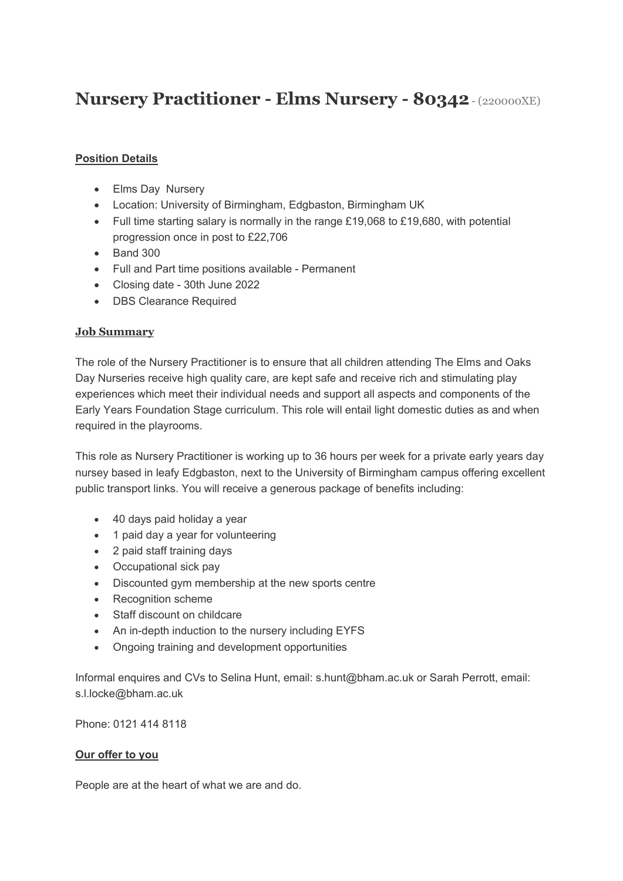# **Nursery Practitioner - Elms Nursery - 80342**- (220000XE)

## **Position Details**

- Elms Day Nursery
- Location: University of Birmingham, Edgbaston, Birmingham UK
- Full time starting salary is normally in the range £19,068 to £19,680, with potential progression once in post to £22,706
- Band 300
- Full and Part time positions available Permanent
- Closing date 30th June 2022
- DBS Clearance Required

### **Job Summary**

The role of the Nursery Practitioner is to ensure that all children attending The Elms and Oaks Day Nurseries receive high quality care, are kept safe and receive rich and stimulating play experiences which meet their individual needs and support all aspects and components of the Early Years Foundation Stage curriculum. This role will entail light domestic duties as and when required in the playrooms.

This role as Nursery Practitioner is working up to 36 hours per week for a private early years day nursey based in leafy Edgbaston, next to the University of Birmingham campus offering excellent public transport links. You will receive a generous package of benefits including:

- 40 days paid holiday a year
- 1 paid day a year for volunteering
- 2 paid staff training days
- Occupational sick pay
- Discounted gym membership at the new sports centre
- Recognition scheme
- Staff discount on childcare
- An in-depth induction to the nursery including EYFS
- Ongoing training and development opportunities

Informal enquires and CVs to Selina Hunt, email: s.hunt@bham.ac.uk or Sarah Perrott, email: s.l.locke@bham.ac.uk

Phone: 0121 414 8118

### **Our offer to you**

People are at the heart of what we are and do.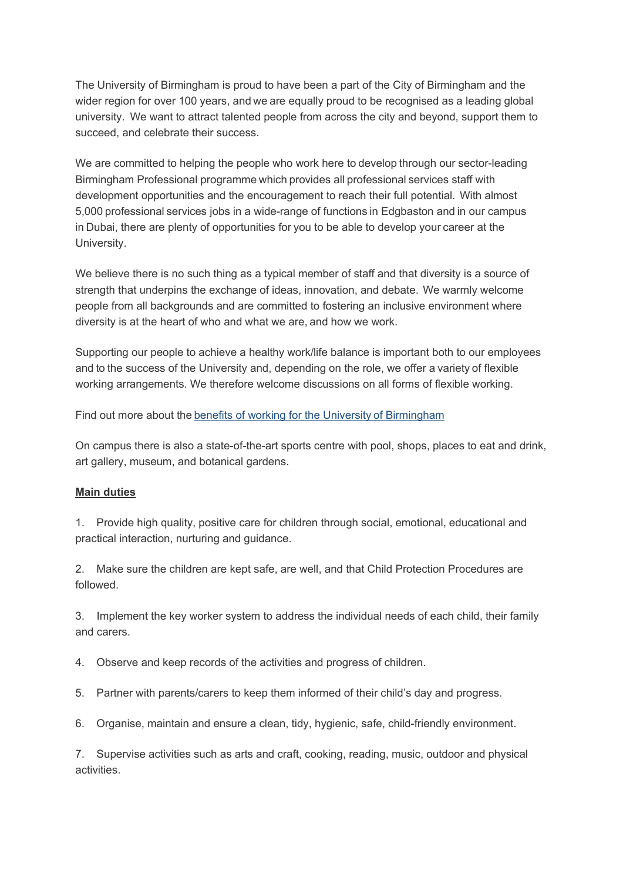The University of Birmingham is proud to have been a part of the City of Birmingham and the wider region for over 100 years, and we are equally proud to be recognised as a leading global university.  We want to attract talented people from across the city and beyond, support them to succeed, and celebrate their success. 

We are committed to helping the people who work here to develop through our sector-leading Birmingham Professional programme which provides all professional services staff with development opportunities and the encouragement to reach their full potential.  With almost 5,000 professional services jobs in a wide-range of functions in Edgbaston and in our campus in Dubai, there are plenty of opportunities for you to be able to develop your career at the University. 

We believe there is no such thing as a typical member of staff and that diversity is a source of strength that underpins the exchange of ideas, innovation, and debate.  We warmly welcome people from all backgrounds and are committed to fostering an inclusive environment where diversity is at the heart of who and what we are, and how we work. 

Supporting our people to achieve a healthy work/life balance is important both to our employees and to the success of the University and, depending on the role, we offer a variety of flexible working arrangements. We therefore welcome discussions on all forms of flexible working. 

Find out more about the [benefits of working for the University of Birmingham](https://intranet.birmingham.ac.uk/hr/pay-and-reward/benefits/index.aspx)

On campus there is also a state-of-the-art sports centre with pool, shops, places to eat and drink, art gallery, museum, and botanical gardens.

### **Main duties**

1. Provide high quality, positive care for children through social, emotional, educational and practical interaction, nurturing and guidance.

2. Make sure the children are kept safe, are well, and that Child Protection Procedures are followed.

3. Implement the key worker system to address the individual needs of each child, their family and carers.

- 4. Observe and keep records of the activities and progress of children.
- 5. Partner with parents/carers to keep them informed of their child's day and progress.
- 6. Organise, maintain and ensure a clean, tidy, hygienic, safe, child-friendly environment.

7. Supervise activities such as arts and craft, cooking, reading, music, outdoor and physical activities.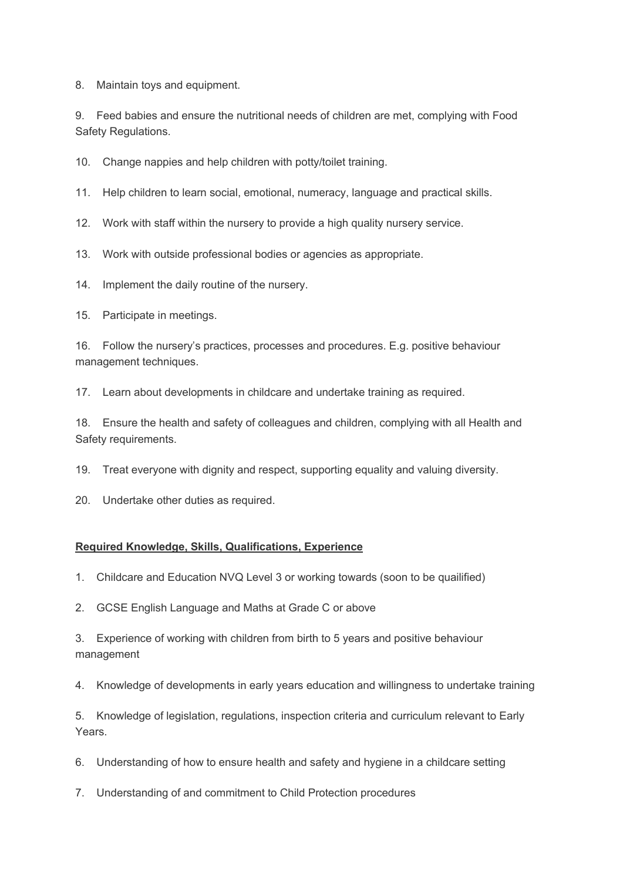8. Maintain toys and equipment.

9. Feed babies and ensure the nutritional needs of children are met, complying with Food Safety Regulations.

10. Change nappies and help children with potty/toilet training.

11. Help children to learn social, emotional, numeracy, language and practical skills.

12. Work with staff within the nursery to provide a high quality nursery service.

13. Work with outside professional bodies or agencies as appropriate.

14. Implement the daily routine of the nursery.

15. Participate in meetings.

16. Follow the nursery's practices, processes and procedures. E.g. positive behaviour management techniques.

17. Learn about developments in childcare and undertake training as required.

18. Ensure the health and safety of colleagues and children, complying with all Health and Safety requirements.

19. Treat everyone with dignity and respect, supporting equality and valuing diversity.

20. Undertake other duties as required.

#### **Required Knowledge, Skills, Qualifications, Experience**

1. Childcare and Education NVQ Level 3 or working towards (soon to be quailified)

2. GCSE English Language and Maths at Grade C or above

3. Experience of working with children from birth to 5 years and positive behaviour management

4. Knowledge of developments in early years education and willingness to undertake training

5. Knowledge of legislation, regulations, inspection criteria and curriculum relevant to Early Years.

6. Understanding of how to ensure health and safety and hygiene in a childcare setting

7. Understanding of and commitment to Child Protection procedures